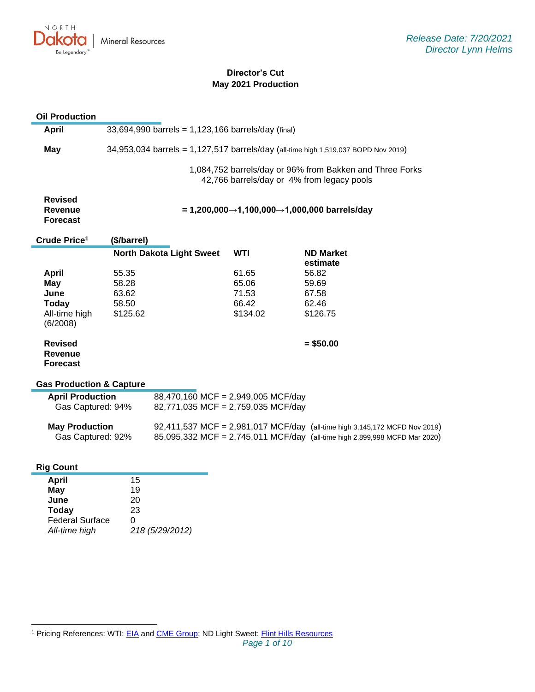

# **Director's Cut May 2021 Production**

# **Oil Production**

| <b>April</b>                                        |                                             | 33,694,990 barrels = 1,123,166 barrels/day (final)                                 |            |                                                                                                                                                          |  |  |
|-----------------------------------------------------|---------------------------------------------|------------------------------------------------------------------------------------|------------|----------------------------------------------------------------------------------------------------------------------------------------------------------|--|--|
| <b>May</b>                                          |                                             | 34,953,034 barrels = 1,127,517 barrels/day (all-time high 1,519,037 BOPD Nov 2019) |            |                                                                                                                                                          |  |  |
|                                                     |                                             |                                                                                    |            | 1,084,752 barrels/day or 96% from Bakken and Three Forks<br>42,766 barrels/day or 4% from legacy pools                                                   |  |  |
| <b>Revised</b><br><b>Revenue</b><br><b>Forecast</b> | = 1,200,000→1,100,000→1,000,000 barrels/day |                                                                                    |            |                                                                                                                                                          |  |  |
| Crude Price <sup>1</sup>                            | (\$/barrel)                                 |                                                                                    |            |                                                                                                                                                          |  |  |
|                                                     |                                             | <b>North Dakota Light Sweet</b>                                                    | <b>WTI</b> | <b>ND Market</b><br>estimate                                                                                                                             |  |  |
| <b>April</b>                                        | 55.35                                       |                                                                                    | 61.65      | 56.82                                                                                                                                                    |  |  |
| May                                                 | 58.28                                       |                                                                                    | 65.06      | 59.69                                                                                                                                                    |  |  |
| June                                                | 63.62                                       |                                                                                    | 71.53      | 67.58                                                                                                                                                    |  |  |
| <b>Today</b>                                        | 58.50                                       |                                                                                    | 66.42      | 62.46                                                                                                                                                    |  |  |
| All-time high<br>(6/2008)                           | \$125.62                                    |                                                                                    | \$134.02   | \$126.75                                                                                                                                                 |  |  |
| <b>Revised</b><br><b>Revenue</b><br><b>Forecast</b> |                                             |                                                                                    |            | $= $50.00$                                                                                                                                               |  |  |
| <b>Gas Production &amp; Capture</b>                 |                                             |                                                                                    |            |                                                                                                                                                          |  |  |
| <b>April Production</b><br>Gas Captured: 94%        |                                             | 88,470,160 MCF = 2,949,005 MCF/day<br>82,771,035 MCF = 2,759,035 MCF/day           |            |                                                                                                                                                          |  |  |
| <b>May Production</b><br>Gas Captured: 92%          |                                             |                                                                                    |            | 92,411,537 MCF = 2,981,017 MCF/day (all-time high 3,145,172 MCFD Nov 2019)<br>85,095,332 MCF = 2,745,011 MCF/day (all-time high 2,899,998 MCFD Mar 2020) |  |  |
| <b>Rig Count</b>                                    |                                             |                                                                                    |            |                                                                                                                                                          |  |  |
| <b>April</b>                                        | 15                                          |                                                                                    |            |                                                                                                                                                          |  |  |
| May                                                 | 19                                          |                                                                                    |            |                                                                                                                                                          |  |  |
| فمبتا                                               | 20                                          |                                                                                    |            |                                                                                                                                                          |  |  |

| 20              |
|-----------------|
| 23              |
| U               |
| 218 (5/29/2012) |
|                 |

<sup>1</sup> Pricing References: WTI: [EIA](https://www.eia.gov/dnav/pet/hist/LeafHandler.ashx?n=PET&s=RCLC1&f=M) and [CME Group;](https://www.cmegroup.com/trading/energy/crude-oil/light-sweet-crude.html) ND Light Sweet: [Flint Hills Resources](https://www.fhr.com/products-services/fuels-and-aromatics)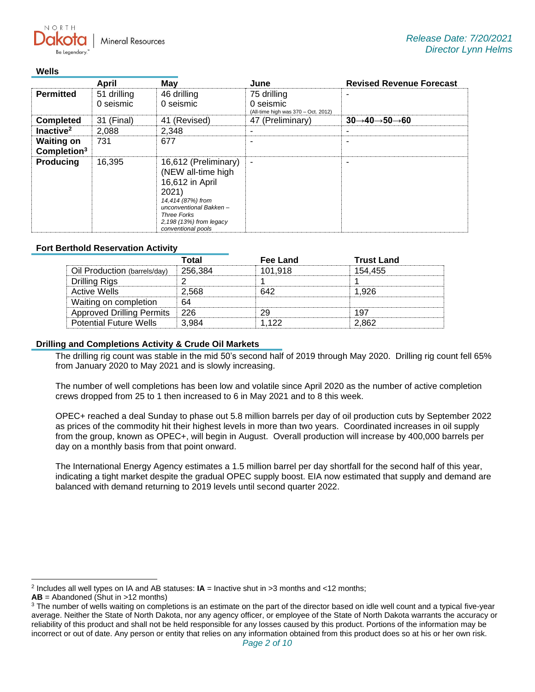**Mineral Resources** 

### **Wells**

 $N$   $\cap$   $R$   $T$   $\vdash$ 

|                                              | April                    | May                                                                                                                                                                                          | June                                                            | <b>Revised Revenue Forecast</b>                   |
|----------------------------------------------|--------------------------|----------------------------------------------------------------------------------------------------------------------------------------------------------------------------------------------|-----------------------------------------------------------------|---------------------------------------------------|
| <b>Permitted</b>                             | 51 drilling<br>0 seismic | 46 drilling<br>0 seismic                                                                                                                                                                     | 75 drilling<br>0 seismic<br>(All-time high was 370 - Oct. 2012) |                                                   |
| <b>Completed</b>                             | 31 (Final)               | 41 (Revised)                                                                                                                                                                                 | 47 (Preliminary)                                                | $30 \rightarrow 40 \rightarrow 50 \rightarrow 60$ |
| Inactive <sup>2</sup>                        | 2,088                    | 2.348                                                                                                                                                                                        |                                                                 |                                                   |
| <b>Waiting on</b><br>Completion <sup>3</sup> | 731                      | 677                                                                                                                                                                                          |                                                                 | -                                                 |
| <b>Producing</b>                             | 16.395                   | 16,612 (Preliminary)<br>(NEW all-time high<br>16,612 in April<br>2021)<br>14,414 (87%) from<br>unconventional Bakken-<br><b>Three Forks</b><br>2,198 (13%) from legacy<br>conventional pools | ٠                                                               | ۰                                                 |

## **Fort Berthold Reservation Activity**

|                                  | Total   | <b>Fee Land</b> | <b>Trust Land</b> |
|----------------------------------|---------|-----------------|-------------------|
| Oil Production (barrels/day)     | 256.384 | 101.918         | 154.455           |
| Drilling Rigs                    |         |                 |                   |
| Active Wells                     | 2.568   | 642             | 1.926             |
| Waiting on completion            | 64      |                 |                   |
| <b>Approved Drilling Permits</b> | -226    |                 | 197               |
| <b>Potential Future Wells</b>    | 3.984   | 1 122           | 2.862             |

## **Drilling and Completions Activity & Crude Oil Markets**

The drilling rig count was stable in the mid 50's second half of 2019 through May 2020. Drilling rig count fell 65% from January 2020 to May 2021 and is slowly increasing.

The number of well completions has been low and volatile since April 2020 as the number of active completion crews dropped from 25 to 1 then increased to 6 in May 2021 and to 8 this week.

OPEC+ reached a deal Sunday to phase out 5.8 million barrels per day of oil production cuts by September 2022 as prices of the commodity hit their highest levels in more than two years. Coordinated increases in oil supply from the group, known as OPEC+, will begin in August. Overall production will increase by 400,000 barrels per day on a monthly basis from that point onward.

The International Energy Agency estimates a 1.5 million barrel per day shortfall for the second half of this year, indicating a tight market despite the gradual OPEC supply boost. EIA now estimated that supply and demand are balanced with demand returning to 2019 levels until second quarter 2022.

<sup>2</sup> Includes all well types on IA and AB statuses: **IA** = Inactive shut in >3 months and <12 months;

**AB** = Abandoned (Shut in >12 months)

<sup>&</sup>lt;sup>3</sup> The number of wells waiting on completions is an estimate on the part of the director based on idle well count and a typical five-year average. Neither the State of North Dakota, nor any agency officer, or employee of the State of North Dakota warrants the accuracy or reliability of this product and shall not be held responsible for any losses caused by this product. Portions of the information may be incorrect or out of date. Any person or entity that relies on any information obtained from this product does so at his or her own risk.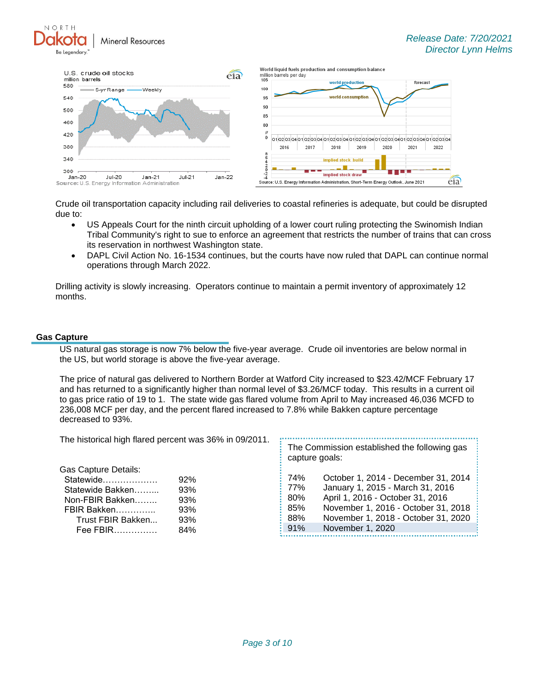**Mineral Resources** 



Crude oil transportation capacity including rail deliveries to coastal refineries is adequate, but could be disrupted due to:

- US Appeals Court for the ninth circuit upholding of a lower court ruling protecting the Swinomish Indian Tribal Community's right to sue to enforce an agreement that restricts the number of trains that can cross its reservation in northwest Washington state.
- DAPL Civil Action No. 16-1534 continues, but the courts have now ruled that DAPL can continue normal operations through March 2022.

Drilling activity is slowly increasing. Operators continue to maintain a permit inventory of approximately 12 months.

#### **Gas Capture**

NORTH

US natural gas storage is now 7% below the five-year average. Crude oil inventories are below normal in the US, but world storage is above the five-year average.

The price of natural gas delivered to Northern Border at Watford City increased to \$23.42/MCF February 17 and has returned to a significantly higher than normal level of \$3.26/MCF today. This results in a current oil to gas price ratio of 19 to 1. The state wide gas flared volume from April to May increased 46,036 MCFD to 236,008 MCF per day, and the percent flared increased to 7.8% while Bakken capture percentage decreased to 93%.

| The historical high flared percent was 36% in 09/2011.                                                                                                                                                       | The Commission established the following gas<br>capture goals:                                                                                                                                                |  |  |
|--------------------------------------------------------------------------------------------------------------------------------------------------------------------------------------------------------------|---------------------------------------------------------------------------------------------------------------------------------------------------------------------------------------------------------------|--|--|
| Gas Capture Details:<br>74%<br>Statewide<br>92%<br>77%<br>Statewide Bakken<br>93%<br>80%<br>93%<br>Non-FBIR Bakken<br>85%<br>FBIR Bakken<br>93%<br>88%<br>Trust FBIR Bakken<br>93%<br>91%<br>84%<br>Fee FBIR | October 1, 2014 - December 31, 2014<br>January 1, 2015 - March 31, 2016<br>April 1, 2016 - October 31, 2016<br>November 1, 2016 - October 31, 2018<br>November 1, 2018 - October 31, 2020<br>November 1, 2020 |  |  |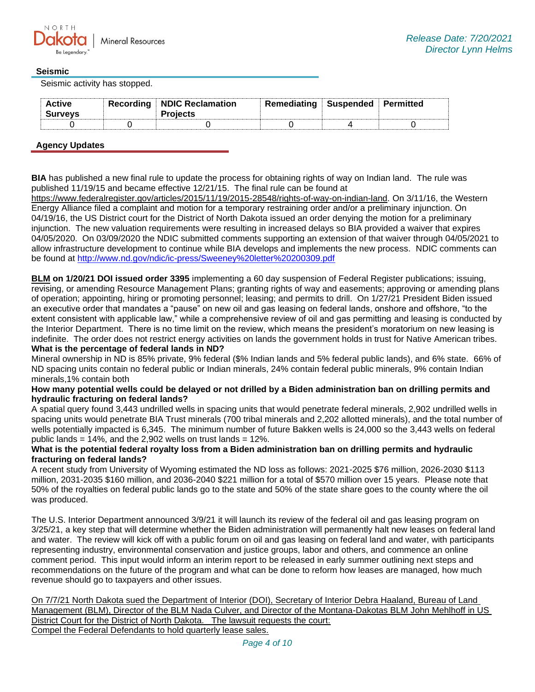

## **Seismic**

Seismic activity has stopped.

| <b>Active</b><br><b>Surveys</b> | Recording   NDIC Reclamation<br><b>Projects</b> | Remediating | $\blacksquare$ Suspended $\blacksquare$ Permitted |  |
|---------------------------------|-------------------------------------------------|-------------|---------------------------------------------------|--|
|                                 |                                                 |             |                                                   |  |

## **Agency Updates**

**BIA** has published a new final rule to update the process for obtaining rights of way on Indian land. The rule was published 11/19/15 and became effective 12/21/15. The final rule can be found at

[https://www.federalregister.gov/articles/2015/11/19/2015-28548/rights-of-way-on-indian-land.](https://gcc02.safelinks.protection.outlook.com/?url=https%3A%2F%2Fwww.federalregister.gov%2Farticles%2F2015%2F11%2F19%2F2015-28548%2Frights-of-way-on-indian-land&data=04%7C01%7Ckahaarsager%40nd.gov%7C6cf12c7622b04af0345608d94badc2d0%7C2dea0464da514a88bae2b3db94bc0c54%7C0%7C0%7C637624031935573790%7CUnknown%7CTWFpbGZsb3d8eyJWIjoiMC4wLjAwMDAiLCJQIjoiV2luMzIiLCJBTiI6Ik1haWwiLCJXVCI6Mn0%3D%7C1000&sdata=RXsy6e3uu7%2BCyVDZyN3Bu%2B8yq2sUt3LEca020OTMLcs%3D&reserved=0) On 3/11/16, the Western Energy Alliance filed a complaint and motion for a temporary restraining order and/or a preliminary injunction. On 04/19/16, the US District court for the District of North Dakota issued an order denying the motion for a preliminary injunction. The new valuation requirements were resulting in increased delays so BIA provided a waiver that expires 04/05/2020. On 03/09/2020 the NDIC submitted comments supporting an extension of that waiver through 04/05/2021 to allow infrastructure development to continue while BIA develops and implements the new process. NDIC comments can be found at<http://www.nd.gov/ndic/ic-press/Sweeney%20letter%20200309.pdf>

**BLM on 1/20/21 DOI issued order 3395** implementing a 60 day suspension of Federal Register publications; issuing, revising, or amending Resource Management Plans; granting rights of way and easements; approving or amending plans of operation; appointing, hiring or promoting personnel; leasing; and permits to drill. On 1/27/21 President Biden issued an executive order that mandates a "pause" on new oil and gas leasing on federal lands, onshore and offshore, "to the extent consistent with applicable law," while a comprehensive review of oil and gas permitting and leasing is conducted by the Interior Department. There is no time limit on the review, which means the president's moratorium on new leasing is indefinite. The order does not restrict energy activities on lands the government holds in trust for Native American tribes. **What is the percentage of federal lands in ND?**

Mineral ownership in ND is 85% private, 9% federal (\$% Indian lands and 5% federal public lands), and 6% state. 66% of ND spacing units contain no federal public or Indian minerals, 24% contain federal public minerals, 9% contain Indian minerals,1% contain both

### **How many potential wells could be delayed or not drilled by a Biden administration ban on drilling permits and hydraulic fracturing on federal lands?**

A spatial query found 3,443 undrilled wells in spacing units that would penetrate federal minerals, 2,902 undrilled wells in spacing units would penetrate BIA Trust minerals (700 tribal minerals and 2,202 allotted minerals), and the total number of wells potentially impacted is 6,345. The minimum number of future Bakken wells is 24,000 so the 3,443 wells on federal public lands =  $14\%$ , and the 2,902 wells on trust lands =  $12\%$ .

### **What is the potential federal royalty loss from a Biden administration ban on drilling permits and hydraulic fracturing on federal lands?**

A recent study from University of Wyoming estimated the ND loss as follows: 2021-2025 \$76 million, 2026-2030 \$113 million, 2031-2035 \$160 million, and 2036-2040 \$221 million for a total of \$570 million over 15 years. Please note that 50% of the royalties on federal public lands go to the state and 50% of the state share goes to the county where the oil was produced.

The U.S. Interior Department announced 3/9/21 it will launch its review of the federal oil and gas leasing program on 3/25/21, a key step that will determine whether the Biden administration will permanently halt new leases on federal land and water. The review will kick off with a public forum on oil and gas leasing on federal land and water, with participants representing industry, environmental conservation and justice groups, labor and others, and commence an online comment period. This input would inform an interim report to be released in early summer outlining next steps and recommendations on the future of the program and what can be done to reform how leases are managed, how much revenue should go to taxpayers and other issues.

On 7/7/21 North Dakota sued the Department of Interior (DOI), Secretary of Interior Debra Haaland, Bureau of Land Management (BLM), Director of the BLM Nada Culver, and Director of the Montana-Dakotas BLM John Mehlhoff in US District Court for the District of North Dakota. The lawsuit requests the court: Compel the Federal Defendants to hold quarterly lease sales.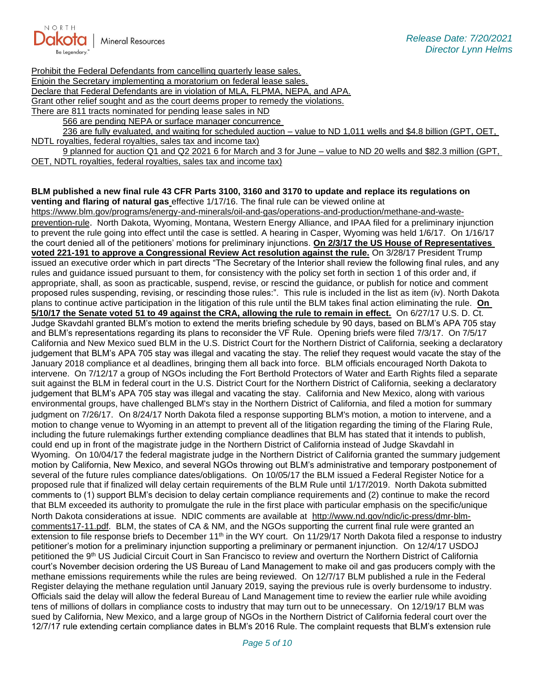

Prohibit the Federal Defendants from cancelling quarterly lease sales.

Enjoin the Secretary implementing a moratorium on federal lease sales.

Declare that Federal Defendants are in violation of MLA, FLPMA, NEPA, and APA.

Grant other relief sought and as the court deems proper to remedy the violations.

There are 811 tracts nominated for pending lease sales in ND

566 are pending NEPA or surface manager concurrence

236 are fully evaluated, and waiting for scheduled auction – value to ND 1,011 wells and \$4.8 billion (GPT, OET, NDTL royalties, federal royalties, sales tax and income tax)

9 planned for auction Q1 and Q2 2021 6 for March and 3 for June – value to ND 20 wells and \$82.3 million (GPT, OET, NDTL royalties, federal royalties, sales tax and income tax)

#### **BLM published a new final rule 43 CFR Parts 3100, 3160 and 3170 to update and replace its regulations on venting and flaring of natural gas** effective 1/17/16. The final rule can be viewed online at

[https://www.blm.gov/programs/energy-and-minerals/oil-and-gas/operations-and-production/methane-and-waste](https://gcc02.safelinks.protection.outlook.com/?url=https%3A%2F%2Fwww.blm.gov%2Fprograms%2Fenergy-and-minerals%2Foil-and-gas%2Foperations-and-production%2Fmethane-and-waste-prevention-rule&data=04%7C01%7Ckahaarsager%40nd.gov%7C6cf12c7622b04af0345608d94badc2d0%7C2dea0464da514a88bae2b3db94bc0c54%7C0%7C0%7C637624031935583717%7CUnknown%7CTWFpbGZsb3d8eyJWIjoiMC4wLjAwMDAiLCJQIjoiV2luMzIiLCJBTiI6Ik1haWwiLCJXVCI6Mn0%3D%7C1000&sdata=d9JIwQbaqJ8ywp71jg4%2B52p7lAn407o1f%2FWbPlXp0nU%3D&reserved=0)[prevention-rule](https://gcc02.safelinks.protection.outlook.com/?url=https%3A%2F%2Fwww.blm.gov%2Fprograms%2Fenergy-and-minerals%2Foil-and-gas%2Foperations-and-production%2Fmethane-and-waste-prevention-rule&data=04%7C01%7Ckahaarsager%40nd.gov%7C6cf12c7622b04af0345608d94badc2d0%7C2dea0464da514a88bae2b3db94bc0c54%7C0%7C0%7C637624031935583717%7CUnknown%7CTWFpbGZsb3d8eyJWIjoiMC4wLjAwMDAiLCJQIjoiV2luMzIiLCJBTiI6Ik1haWwiLCJXVCI6Mn0%3D%7C1000&sdata=d9JIwQbaqJ8ywp71jg4%2B52p7lAn407o1f%2FWbPlXp0nU%3D&reserved=0). North Dakota, Wyoming, Montana, Western Energy Alliance, and IPAA filed for a preliminary injunction to prevent the rule going into effect until the case is settled. A hearing in Casper, Wyoming was held 1/6/17. On 1/16/17 the court denied all of the petitioners' motions for preliminary injunctions. **On 2/3/17 the US House of Representatives voted 221-191 to approve a Congressional Review Act resolution against the rule.** On 3/28/17 President Trump issued an executive order which in part directs "The Secretary of the Interior shall review the following final rules, and any rules and guidance issued pursuant to them, for consistency with the policy set forth in section 1 of this order and, if appropriate, shall, as soon as practicable, suspend, revise, or rescind the guidance, or publish for notice and comment proposed rules suspending, revising, or rescinding those rules:". This rule is included in the list as item (iv). North Dakota plans to continue active participation in the litigation of this rule until the BLM takes final action eliminating the rule. **On 5/10/17 the Senate voted 51 to 49 against the CRA, allowing the rule to remain in effect.** On 6/27/17 U.S. D. Ct. Judge Skavdahl granted BLM's motion to extend the merits briefing schedule by 90 days, based on BLM's APA 705 stay and BLM's representations regarding its plans to reconsider the VF Rule. Opening briefs were filed 7/3/17. On 7/5/17 California and New Mexico sued BLM in the U.S. District Court for the Northern District of California, seeking a declaratory judgement that BLM's APA 705 stay was illegal and vacating the stay. The relief they request would vacate the stay of the January 2018 compliance et al deadlines, bringing them all back into force. BLM officials encouraged North Dakota to intervene. On 7/12/17 a group of NGOs including the Fort Berthold Protectors of Water and Earth Rights filed a separate suit against the BLM in federal court in the U.S. District Court for the Northern District of California, seeking a declaratory judgement that BLM's APA 705 stay was illegal and vacating the stay. California and New Mexico, along with various environmental groups, have challenged BLM's stay in the Northern District of California, and filed a motion for summary judgment on 7/26/17. On 8/24/17 North Dakota filed a response supporting BLM's motion, a motion to intervene, and a motion to change venue to Wyoming in an attempt to prevent all of the litigation regarding the timing of the Flaring Rule, including the future rulemakings further extending compliance deadlines that BLM has stated that it intends to publish, could end up in front of the magistrate judge in the Northern District of California instead of Judge Skavdahl in Wyoming. On 10/04/17 the federal magistrate judge in the Northern District of California granted the summary judgement motion by California, New Mexico, and several NGOs throwing out BLM's administrative and temporary postponement of several of the future rules compliance dates/obligations. On 10/05/17 the BLM issued a Federal Register Notice for a proposed rule that if finalized will delay certain requirements of the BLM Rule until 1/17/2019. North Dakota submitted comments to (1) support BLM's decision to delay certain compliance requirements and (2) continue to make the record that BLM exceeded its authority to promulgate the rule in the first place with particular emphasis on the specific/unique North Dakota considerations at issue. NDIC comments are available at [http://www.nd.gov/ndic/ic-press/dmr-blm](http://www.nd.gov/ndic/ic-press/dmr-blm-comments17-11.pdf)[comments17-11.pdf.](http://www.nd.gov/ndic/ic-press/dmr-blm-comments17-11.pdf) BLM, the states of CA & NM, and the NGOs supporting the current final rule were granted an extension to file response briefs to December  $11<sup>th</sup>$  in the WY court. On  $11/29/17$  North Dakota filed a response to industry petitioner's motion for a preliminary injunction supporting a preliminary or permanent injunction. On 12/4/17 USDOJ petitioned the 9<sup>th</sup> US Judicial Circuit Court in San Francisco to review and overturn the Northern District of California court's November decision ordering the US Bureau of Land Management to make oil and gas producers comply with the methane emissions requirements while the rules are being reviewed. On 12/7/17 BLM published a rule in the Federal Register delaying the methane regulation until January 2019, saying the previous rule is overly burdensome to industry. Officials said the delay will allow the federal Bureau of Land Management time to review the earlier rule while avoiding tens of millions of dollars in compliance costs to industry that may turn out to be unnecessary. On 12/19/17 BLM was sued by California, New Mexico, and a large group of NGOs in the Northern District of California federal court over the 12/7/17 rule extending certain compliance dates in BLM's 2016 Rule. The complaint requests that BLM's extension rule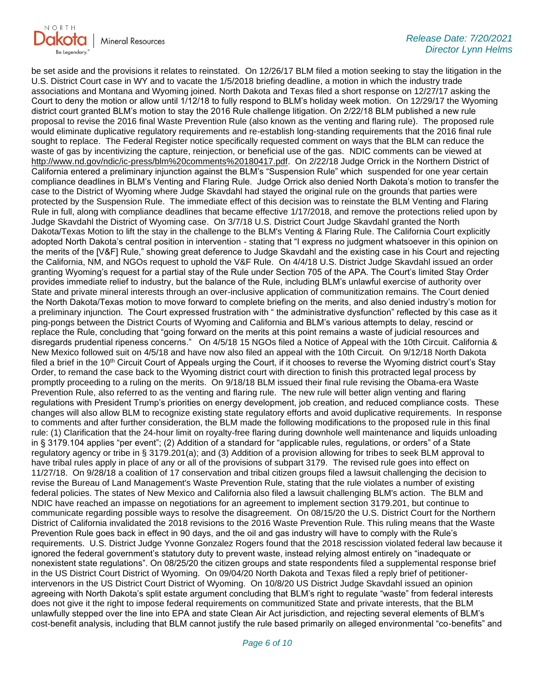

be set aside and the provisions it relates to reinstated. On 12/26/17 BLM filed a motion seeking to stay the litigation in the U.S. District Court case in WY and to vacate the 1/5/2018 briefing deadline, a motion in which the industry trade associations and Montana and Wyoming joined. North Dakota and Texas filed a short response on 12/27/17 asking the Court to deny the motion or allow until 1/12/18 to fully respond to BLM's holiday week motion. On 12/29/17 the Wyoming district court granted BLM's motion to stay the 2016 Rule challenge litigation. On 2/22/18 BLM published a new rule proposal to revise the 2016 final Waste Prevention Rule (also known as the venting and flaring rule). The proposed rule would eliminate duplicative regulatory requirements and re-establish long-standing requirements that the 2016 final rule sought to replace. The Federal Register notice specifically requested comment on ways that the BLM can reduce the waste of gas by incentivizing the capture, reinjection, or beneficial use of the gas. NDIC comments can be viewed at [http://www.nd.gov/ndic/ic-press/blm%20comments%20180417.pdf.](http://www.nd.gov/ndic/ic-press/blm%20comments%20180417.pdf) On 2/22/18 Judge Orrick in the Northern District of California entered a preliminary injunction against the BLM's "Suspension Rule" which suspended for one year certain compliance deadlines in BLM's Venting and Flaring Rule. Judge Orrick also denied North Dakota's motion to transfer the case to the District of Wyoming where Judge Skavdahl had stayed the original rule on the grounds that parties were protected by the Suspension Rule. The immediate effect of this decision was to reinstate the BLM Venting and Flaring Rule in full, along with compliance deadlines that became effective 1/17/2018, and remove the protections relied upon by Judge Skavdahl the District of Wyoming case. On 3/7/18 U.S. District Court Judge Skavdahl granted the North Dakota/Texas Motion to lift the stay in the challenge to the BLM's Venting & Flaring Rule. The California Court explicitly adopted North Dakota's central position in intervention - stating that "I express no judgment whatsoever in this opinion on the merits of the [V&F] Rule," showing great deference to Judge Skavdahl and the existing case in his Court and rejecting the California, NM, and NGOs request to uphold the V&F Rule. On 4/4/18 U.S. District Judge Skavdahl issued an order granting Wyoming's request for a partial stay of the Rule under Section 705 of the APA. The Court's limited Stay Order provides immediate relief to industry, but the balance of the Rule, including BLM's unlawful exercise of authority over State and private mineral interests through an over-inclusive application of communitization remains. The Court denied the North Dakota/Texas motion to move forward to complete briefing on the merits, and also denied industry's motion for a preliminary injunction. The Court expressed frustration with " the administrative dysfunction" reflected by this case as it ping-pongs between the District Courts of Wyoming and California and BLM's various attempts to delay, rescind or replace the Rule, concluding that "going forward on the merits at this point remains a waste of judicial resources and disregards prudential ripeness concerns." On 4/5/18 15 NGOs filed a Notice of Appeal with the 10th Circuit. California & New Mexico followed suit on 4/5/18 and have now also filed an appeal with the 10th Circuit. On 9/12/18 North Dakota filed a brief in the 10<sup>th</sup> Circuit Court of Appeals urging the Court, if it chooses to reverse the Wyoming district court's Stay Order, to remand the case back to the Wyoming district court with direction to finish this protracted legal process by promptly proceeding to a ruling on the merits. On 9/18/18 BLM issued their final rule revising the Obama-era Waste Prevention Rule, also referred to as the venting and flaring rule. The new rule will better align venting and flaring regulations with President Trump's priorities on energy development, job creation, and reduced compliance costs. These changes will also allow BLM to recognize existing state regulatory efforts and avoid duplicative requirements. In response to comments and after further consideration, the BLM made the following modifications to the proposed rule in this final rule: (1) Clarification that the 24-hour limit on royalty-free flaring during downhole well maintenance and liquids unloading in § 3179.104 applies "per event"; (2) Addition of a standard for "applicable rules, regulations, or orders" of a State regulatory agency or tribe in § 3179.201(a); and (3) Addition of a provision allowing for tribes to seek BLM approval to have tribal rules apply in place of any or all of the provisions of subpart 3179. The revised rule goes into effect on 11/27/18. On 9/28/18 a coalition of 17 conservation and tribal citizen groups filed a lawsuit challenging the decision to revise the Bureau of Land Management's Waste Prevention Rule, stating that the rule violates a number of existing federal policies. The states of New Mexico and California also filed a lawsuit challenging BLM's action. The BLM and NDIC have reached an impasse on negotiations for an agreement to implement section 3179.201, but continue to communicate regarding possible ways to resolve the disagreement. On 08/15/20 the U.S. District Court for the Northern District of California invalidated the 2018 revisions to the 2016 Waste Prevention Rule. This ruling means that the Waste Prevention Rule goes back in effect in 90 days, and the oil and gas industry will have to comply with the Rule's requirements. U.S. District Judge Yvonne Gonzalez Rogers found that the 2018 rescission violated federal law because it ignored the federal government's statutory duty to prevent waste, instead relying almost entirely on "inadequate or nonexistent state regulations". On 08/25/20 the citizen groups and state respondents filed a supplemental response brief in the US District Court District of Wyoming. On 09/04/20 North Dakota and Texas filed a reply brief of petitionerintervenors in the US District Court District of Wyoming. On 10/8/20 US District Judge Skavdahl issued an opinion agreeing with North Dakota's split estate argument concluding that BLM's right to regulate "waste" from federal interests does not give it the right to impose federal requirements on communitized State and private interests, that the BLM unlawfully stepped over the line into EPA and state Clean Air Act jurisdiction, and rejecting several elements of BLM's cost-benefit analysis, including that BLM cannot justify the rule based primarily on alleged environmental "co-benefits" and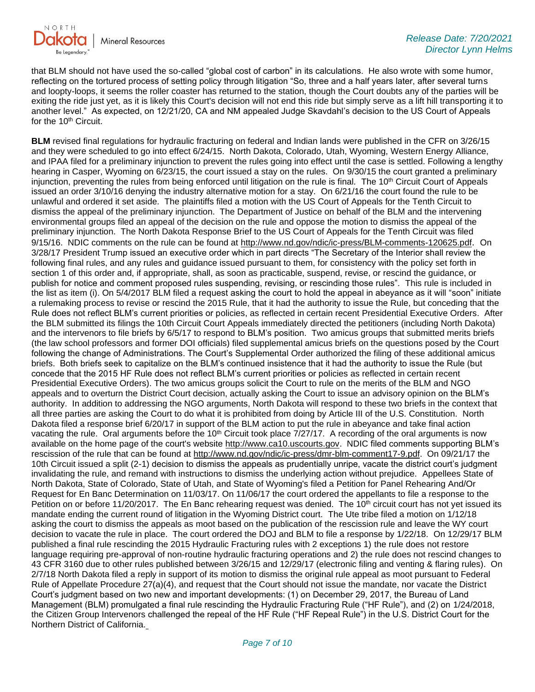

that BLM should not have used the so-called "global cost of carbon" in its calculations. He also wrote with some humor, reflecting on the tortured process of setting policy through litigation "So, three and a half years later, after several turns and loopty-loops, it seems the roller coaster has returned to the station, though the Court doubts any of the parties will be exiting the ride just yet, as it is likely this Court's decision will not end this ride but simply serve as a lift hill transporting it to another level." As expected, on 12/21/20, CA and NM appealed Judge Skavdahl's decision to the US Court of Appeals for the 10<sup>th</sup> Circuit.

**BLM** revised final regulations for hydraulic fracturing on federal and Indian lands were published in the CFR on 3/26/15 and they were scheduled to go into effect 6/24/15. North Dakota, Colorado, Utah, Wyoming, Western Energy Alliance, and IPAA filed for a preliminary injunction to prevent the rules going into effect until the case is settled. Following a lengthy hearing in Casper, Wyoming on 6/23/15, the court issued a stay on the rules. On 9/30/15 the court granted a preliminary injunction, preventing the rules from being enforced until litigation on the rule is final. The 10<sup>th</sup> Circuit Court of Appeals issued an order 3/10/16 denying the industry alternative motion for a stay. On 6/21/16 the court found the rule to be unlawful and ordered it set aside. The plaintiffs filed a motion with the US Court of Appeals for the Tenth Circuit to dismiss the appeal of the preliminary injunction. The Department of Justice on behalf of the BLM and the intervening environmental groups filed an appeal of the decision on the rule and oppose the motion to dismiss the appeal of the preliminary injunction. The North Dakota Response Brief to the US Court of Appeals for the Tenth Circuit was filed 9/15/16. NDIC comments on the rule can be found at<http://www.nd.gov/ndic/ic-press/BLM-comments-120625.pdf>. On 3/28/17 President Trump issued an executive order which in part directs "The Secretary of the Interior shall review the following final rules, and any rules and guidance issued pursuant to them, for consistency with the policy set forth in section 1 of this order and, if appropriate, shall, as soon as practicable, suspend, revise, or rescind the guidance, or publish for notice and comment proposed rules suspending, revising, or rescinding those rules". This rule is included in the list as item (i). On 5/4/2017 BLM filed a request asking the court to hold the appeal in abeyance as it will "soon" initiate a rulemaking process to revise or rescind the 2015 Rule, that it had the authority to issue the Rule, but conceding that the Rule does not reflect BLM's current priorities or policies, as reflected in certain recent Presidential Executive Orders. After the BLM submitted its filings the 10th Circuit Court Appeals immediately directed the petitioners (including North Dakota) and the intervenors to file briefs by 6/5/17 to respond to BLM's position. Two amicus groups that submitted merits briefs (the law school professors and former DOI officials) filed supplemental amicus briefs on the questions posed by the Court following the change of Administrations. The Court's Supplemental Order authorized the filing of these additional amicus briefs. Both briefs seek to capitalize on the BLM's continued insistence that it had the authority to issue the Rule (but concede that the 2015 HF Rule does not reflect BLM's current priorities or policies as reflected in certain recent Presidential Executive Orders). The two amicus groups solicit the Court to rule on the merits of the BLM and NGO appeals and to overturn the District Court decision, actually asking the Court to issue an advisory opinion on the BLM's authority. In addition to addressing the NGO arguments, North Dakota will respond to these two briefs in the context that all three parties are asking the Court to do what it is prohibited from doing by Article III of the U.S. Constitution. North Dakota filed a response brief 6/20/17 in support of the BLM action to put the rule in abeyance and take final action vacating the rule. Oral arguments before the 10<sup>th</sup> Circuit took place  $7/27/17$ . A recording of the oral arguments is now available on the home page of the court's website [http://www.ca10.uscourts.gov.](https://gcc02.safelinks.protection.outlook.com/?url=https%3A%2F%2Furldefense.proofpoint.com%2Fv2%2Furl%3Fu%3Dhttp-3A__www.ca10.uscourts.gov%26d%3DDwMGaQ%26c%3D2s2mvbfY0UoSKkl6_Ol9wg%26r%3D-wqsZnBxny594KY8HeElow%26m%3DUl_VtJUX6iW5pvHjCcBxUWtskC0F4Dhry3sPtcEHvCw%26s%3DlaRHiLDv5w8otcQWQjpn82WMieoB2AZ-Q4M1LFQPL5s%26e%3D&data=04%7C01%7Ckahaarsager%40nd.gov%7C6cf12c7622b04af0345608d94badc2d0%7C2dea0464da514a88bae2b3db94bc0c54%7C0%7C0%7C637624031935583717%7CUnknown%7CTWFpbGZsb3d8eyJWIjoiMC4wLjAwMDAiLCJQIjoiV2luMzIiLCJBTiI6Ik1haWwiLCJXVCI6Mn0%3D%7C1000&sdata=Fynsq2owgKOzrR44eBwh9iHAbfgAAtS2II4seszpte4%3D&reserved=0) NDIC filed comments supporting BLM's rescission of the rule that can be found at [http://www.nd.gov/ndic/ic-press/dmr-blm-comment17-9.pdf.](http://www.nd.gov/ndic/ic-press/dmr-blm-comment17-9.pdf) On 09/21/17 the 10th Circuit issued a split (2-1) decision to dismiss the appeals as prudentially unripe, vacate the district court's judgment invalidating the rule, and remand with instructions to dismiss the underlying action without prejudice. Appellees State of North Dakota, State of Colorado, State of Utah, and State of Wyoming's filed a Petition for Panel Rehearing And/Or Request for En Banc Determination on 11/03/17. On 11/06/17 the court ordered the appellants to file a response to the Petition on or before 11/20/2017. The En Banc rehearing request was denied. The 10<sup>th</sup> circuit court has not yet issued its mandate ending the current round of litigation in the Wyoming District court. The Ute tribe filed a motion on 1/12/18 asking the court to dismiss the appeals as moot based on the publication of the rescission rule and leave the WY court decision to vacate the rule in place. The court ordered the DOJ and BLM to file a response by 1/22/18. On 12/29/17 BLM published a final rule rescinding the 2015 Hydraulic Fracturing rules with 2 exceptions 1) the rule does not restore language requiring pre-approval of non-routine hydraulic fracturing operations and 2) the rule does not rescind changes to 43 CFR 3160 due to other rules published between 3/26/15 and 12/29/17 (electronic filing and venting & flaring rules). On 2/7/18 North Dakota filed a reply in support of its motion to dismiss the original rule appeal as moot pursuant to Federal Rule of Appellate Procedure 27(a)(4), and request that the Court should not issue the mandate, nor vacate the District Court's judgment based on two new and important developments: (1) on December 29, 2017, the Bureau of Land Management (BLM) promulgated a final rule rescinding the Hydraulic Fracturing Rule ("HF Rule"), and (2) on 1/24/2018, the Citizen Group Intervenors challenged the repeal of the HF Rule ("HF Repeal Rule") in the U.S. District Court for the Northern District of California.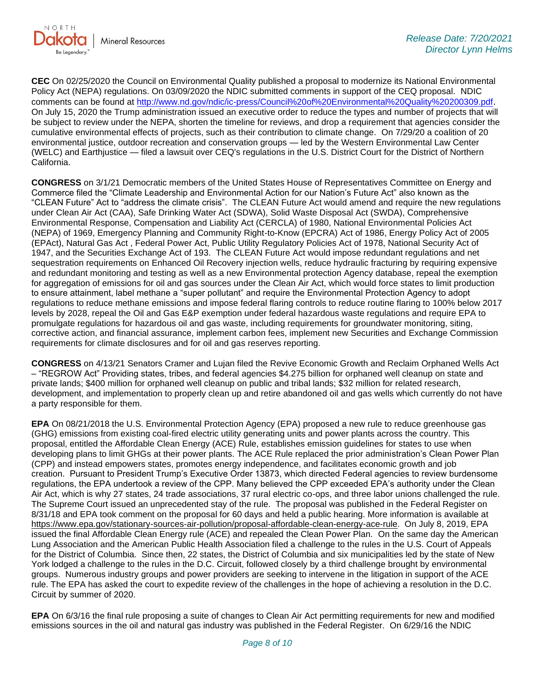

**CEC** On 02/25/2020 the Council on Environmental Quality published a proposal to modernize its National Environmental Policy Act (NEPA) regulations. On 03/09/2020 the NDIC submitted comments in support of the CEQ proposal. NDIC comments can be found at<http://www.nd.gov/ndic/ic-press/Council%20of%20Environmental%20Quality%20200309.pdf>. On July 15, 2020 the Trump administration issued an executive order to reduce the types and number of projects that will be subject to review under the NEPA, shorten the timeline for reviews, and drop a requirement that agencies consider the cumulative environmental effects of projects, such as their contribution to climate change. On 7/29/20 a coalition of 20 environmental justice, outdoor recreation and conservation groups — led by the Western Environmental Law Center (WELC) and Earthjustice — filed a lawsuit over CEQ's regulations in the U.S. District Court for the District of Northern California.

**CONGRESS** on 3/1/21 Democratic members of the United States House of Representatives Committee on Energy and Commerce filed the "Climate Leadership and Environmental Action for our Nation's Future Act" also known as the "CLEAN Future" Act to "address the climate crisis". The CLEAN Future Act would amend and require the new regulations under Clean Air Act (CAA), Safe Drinking Water Act (SDWA), Solid Waste Disposal Act (SWDA), Comprehensive Environmental Response, Compensation and Liability Act (CERCLA) of 1980, National Environmental Policies Act (NEPA) of 1969, Emergency Planning and Community Right-to-Know (EPCRA) Act of 1986, Energy Policy Act of 2005 (EPAct), Natural Gas Act , Federal Power Act, Public Utility Regulatory Policies Act of 1978, National Security Act of 1947, and the Securities Exchange Act of 193. The CLEAN Future Act would impose redundant regulations and net sequestration requirements on Enhanced Oil Recovery injection wells, reduce hydraulic fracturing by requiring expensive and redundant monitoring and testing as well as a new Environmental protection Agency database, repeal the exemption for aggregation of emissions for oil and gas sources under the Clean Air Act, which would force states to limit production to ensure attainment, label methane a "super pollutant" and require the Environmental Protection Agency to adopt regulations to reduce methane emissions and impose federal flaring controls to reduce routine flaring to 100% below 2017 levels by 2028, repeal the Oil and Gas E&P exemption under federal hazardous waste regulations and require EPA to promulgate regulations for hazardous oil and gas waste, including requirements for groundwater monitoring, siting, corrective action, and financial assurance, implement carbon fees, implement new Securities and Exchange Commission requirements for climate disclosures and for oil and gas reserves reporting.

**CONGRESS** on 4/13/21 Senators Cramer and Lujan filed the Revive Economic Growth and Reclaim Orphaned Wells Act – "REGROW Act" Providing states, tribes, and federal agencies \$4.275 billion for orphaned well cleanup on state and private lands; \$400 million for orphaned well cleanup on public and tribal lands; \$32 million for related research, development, and implementation to properly clean up and retire abandoned oil and gas wells which currently do not have a party responsible for them.

**EPA** On 08/21/2018 the U.S. Environmental Protection Agency (EPA) proposed a new rule to reduce greenhouse gas (GHG) emissions from existing coal-fired electric utility generating units and power plants across the country. This proposal, entitled the Affordable Clean Energy (ACE) Rule, establishes emission guidelines for states to use when developing plans to limit GHGs at their power plants. The ACE Rule replaced the prior administration's Clean Power Plan (CPP) and instead empowers states, promotes energy independence, and facilitates economic growth and job creation. Pursuant to President Trump's Executive Order 13873, which directed Federal agencies to review burdensome regulations, the EPA undertook a review of the CPP. Many believed the CPP exceeded EPA's authority under the Clean Air Act, which is why 27 states, 24 trade associations, 37 rural electric co-ops, and three labor unions challenged the rule. The Supreme Court issued an unprecedented stay of the rule. The proposal was published in the Federal Register on 8/31/18 and EPA took comment on the proposal for 60 days and held a public hearing. More information is available at [https://www.epa.gov/stationary-sources-air-pollution/proposal-affordable-clean-energy-ace-rule.](https://gcc02.safelinks.protection.outlook.com/?url=https%3A%2F%2Fwww.epa.gov%2Fstationary-sources-air-pollution%2Fproposal-affordable-clean-energy-ace-rule&data=04%7C01%7Ckahaarsager%40nd.gov%7C6cf12c7622b04af0345608d94badc2d0%7C2dea0464da514a88bae2b3db94bc0c54%7C0%7C0%7C637624031935593668%7CUnknown%7CTWFpbGZsb3d8eyJWIjoiMC4wLjAwMDAiLCJQIjoiV2luMzIiLCJBTiI6Ik1haWwiLCJXVCI6Mn0%3D%7C1000&sdata=qF2%2FUDkWTrvRJmG34FsJbu%2BTa90ZGwTT8IdTHnNw%2Fto%3D&reserved=0) On July 8, 2019, EPA issued the final Affordable Clean Energy rule (ACE) and repealed the Clean Power Plan. On the same day the American Lung Association and the American Public Health Association filed a challenge to the rules in the U.S. Court of Appeals for the District of Columbia. Since then, 22 states, the District of Columbia and six municipalities led by the state of New York lodged a challenge to the rules in the D.C. Circuit, followed closely by a third challenge brought by environmental groups. Numerous industry groups and power providers are seeking to intervene in the litigation in support of the ACE rule. The EPA has asked the court to expedite review of the challenges in the hope of achieving a resolution in the D.C. Circuit by summer of 2020.

**EPA** On 6/3/16 the final rule proposing a suite of changes to Clean Air Act permitting requirements for new and modified emissions sources in the oil and natural gas industry was published in the Federal Register. On 6/29/16 the NDIC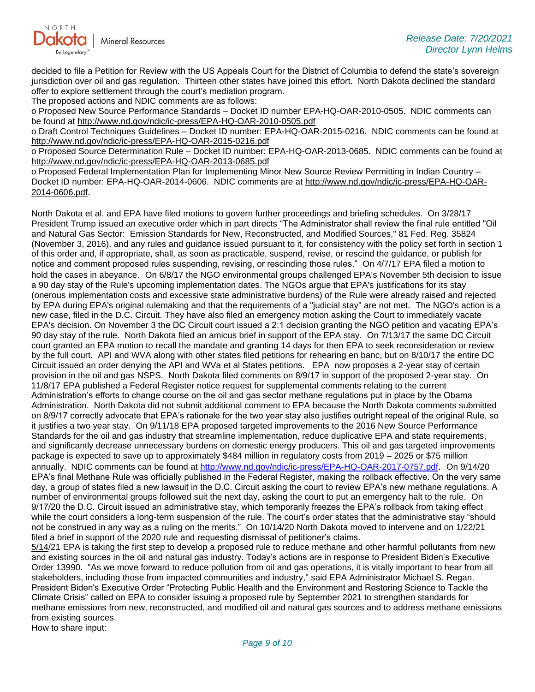

decided to file a Petition for Review with the US Appeals Court for the District of Columbia to defend the state's sovereign jurisdiction over oil and gas regulation. Thirteen other states have joined this effort. North Dakota declined the standard offer to explore settlement through the court's mediation program.

The proposed actions and NDIC comments are as follows:

o Proposed New Source Performance Standards – Docket ID number EPA-HQ-OAR-2010-0505. NDIC comments can be found at<http://www.nd.gov/ndic/ic-press/EPA-HQ-OAR-2010-0505.pdf>

o Draft Control Techniques Guidelines – Docket ID number: EPA-HQ-OAR-2015-0216. NDIC comments can be found at <http://www.nd.gov/ndic/ic-press/EPA-HQ-OAR-2015-0216.pdf>

o Proposed Source Determination Rule – Docket ID number: EPA-HQ-OAR-2013-0685. NDIC comments can be found at <http://www.nd.gov/ndic/ic-press/EPA-HQ-OAR-2013-0685.pdf>

o Proposed Federal Implementation Plan for Implementing Minor New Source Review Permitting in Indian Country – Docket ID number: EPA-HQ-OAR-2014-0606. NDIC comments are at [http://www.nd.gov/ndic/ic-press/EPA-HQ-OAR-](http://www.nd.gov/ndic/ic-press/EPA-HQ-OAR-2014-0606.pdf)[2014-0606.pdf](http://www.nd.gov/ndic/ic-press/EPA-HQ-OAR-2014-0606.pdf).

North Dakota et al. and EPA have filed motions to govern further proceedings and briefing schedules. On 3/28/17 President Trump issued an executive order which in part directs "The Administrator shall review the final rule entitled "Oil and Natural Gas Sector: Emission Standards for New, Reconstructed, and Modified Sources," 81 Fed. Reg. 35824 (November 3, 2016), and any rules and guidance issued pursuant to it, for consistency with the policy set forth in section 1 of this order and, if appropriate, shall, as soon as practicable, suspend, revise, or rescind the guidance, or publish for notice and comment proposed rules suspending, revising, or rescinding those rules." On 4/7/17 EPA filed a motion to hold the cases in abeyance. On 6/8/17 the NGO environmental groups challenged EPA's November 5th decision to issue a 90 day stay of the Rule's upcoming implementation dates. The NGOs argue that EPA's justifications for its stay (onerous implementation costs and excessive state administrative burdens) of the Rule were already raised and rejected by EPA during EPA's original rulemaking and that the requirements of a "judicial stay" are not met. The NGO's action is a new case, filed in the D.C. Circuit. They have also filed an emergency motion asking the Court to immediately vacate EPA's decision. On November 3 the DC Circuit court issued a 2:1 decision granting the NGO petition and vacating EPA's 90 day stay of the rule. North Dakota filed an amicus brief in support of the EPA stay. On 7/13/17 the same DC Circuit court granted an EPA motion to recall the mandate and granting 14 days for then EPA to seek reconsideration or review by the full court. API and WVA along with other states filed petitions for rehearing en banc, but on 8/10/17 the entire DC Circuit issued an order denying the API and WVa et al States petitions. EPA now proposes a 2-year stay of certain provision in the oil and gas NSPS. North Dakota filed comments on 8/9/17 in support of the proposed 2-year stay. On 11/8/17 EPA published a Federal Register notice request for supplemental comments relating to the current Administration's efforts to change course on the oil and gas sector methane regulations put in place by the Obama Administration. North Dakota did not submit additional comment to EPA because the North Dakota comments submitted on 8/9/17 correctly advocate that EPA's rationale for the two year stay also justifies outright repeal of the original Rule, so it justifies a two year stay. On 9/11/18 EPA proposed targeted improvements to the 2016 New Source Performance Standards for the oil and gas industry that streamline implementation, reduce duplicative EPA and state requirements, and significantly decrease unnecessary burdens on domestic energy producers. This oil and gas targeted improvements package is expected to save up to approximately \$484 million in regulatory costs from 2019 – 2025 or \$75 million annually. NDIC comments can be found at<http://www.nd.gov/ndic/ic-press/EPA-HQ-OAR-2017-0757.pdf>. On 9/14/20 EPA's final Methane Rule was officially published in the Federal Register, making the rollback effective. On the very same day, a group of states filed a new lawsuit in the D.C. Circuit asking the court to review EPA's new methane regulations. A number of environmental groups followed suit the next day, asking the court to put an emergency halt to the rule. On 9/17/20 the D.C. Circuit issued an administrative stay, which temporarily freezes the EPA's rollback from taking effect while the court considers a long-term suspension of the rule. The court's order states that the administrative stay "should not be construed in any way as a ruling on the merits." On 10/14/20 North Dakota moved to intervene and on 1/22/21 filed a brief in support of the 2020 rule and requesting dismissal of petitioner's claims.

5/14/21 EPA is taking the first step to develop a proposed rule to reduce methane and other harmful pollutants from new and existing sources in the oil and natural gas industry. Today's actions are in response to President Biden's Executive Order 13990. "As we move forward to reduce pollution from oil and gas operations, it is vitally important to hear from all stakeholders, including those from impacted communities and industry," said EPA Administrator Michael S. Regan. President Biden's Executive Order "Protecting Public Health and the Environment and Restoring Science to Tackle the Climate Crisis" called on EPA to consider issuing a proposed rule by September 2021 to strengthen standards for methane emissions from new, reconstructed, and modified oil and natural gas sources and to address methane emissions from existing sources.

How to share input: